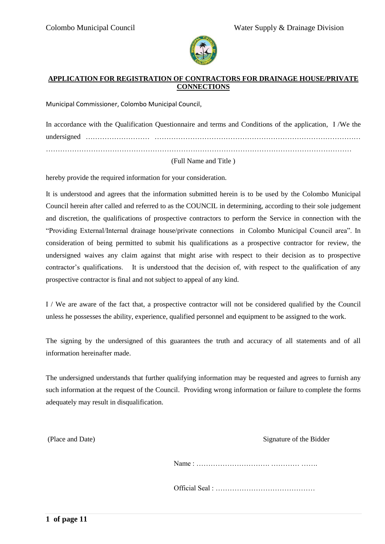

#### **APPLICATION FOR REGISTRATION OF CONTRACTORS FOR DRAINAGE HOUSE/PRIVATE CONNECTIONS**

Municipal Commissioner, Colombo Municipal Council,

| In accordance with the Qualification Questionnaire and terms and Conditions of the application, I/We the |  |  |  |  |  |  |
|----------------------------------------------------------------------------------------------------------|--|--|--|--|--|--|
|                                                                                                          |  |  |  |  |  |  |
|                                                                                                          |  |  |  |  |  |  |

#### (Full Name and Title )

hereby provide the required information for your consideration.

It is understood and agrees that the information submitted herein is to be used by the Colombo Municipal Council herein after called and referred to as the COUNCIL in determining, according to their sole judgement and discretion, the qualifications of prospective contractors to perform the Service in connection with the "Providing External/Internal drainage house/private connections in Colombo Municipal Council area". In consideration of being permitted to submit his qualifications as a prospective contractor for review, the undersigned waives any claim against that might arise with respect to their decision as to prospective contractor's qualifications. It is understood that the decision of, with respect to the qualification of any prospective contractor is final and not subject to appeal of any kind.

I / We are aware of the fact that, a prospective contractor will not be considered qualified by the Council unless he possesses the ability, experience, qualified personnel and equipment to be assigned to the work.

The signing by the undersigned of this guarantees the truth and accuracy of all statements and of all information hereinafter made.

The undersigned understands that further qualifying information may be requested and agrees to furnish any such information at the request of the Council. Providing wrong information or failure to complete the forms adequately may result in disqualification.

(Place and Date) Signature of the Bidder

Name : …………………………. ………… …….

Official Seal : ……………………………………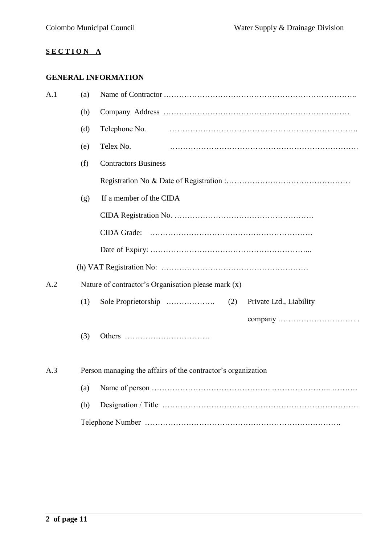### **S E C T I O N A**

# **GENERAL INFORMATION**

| A.1 | (a) |                                                              |
|-----|-----|--------------------------------------------------------------|
|     | (b) |                                                              |
|     | (d) | Telephone No.                                                |
|     | (e) | Telex No.                                                    |
|     | (f) | <b>Contractors Business</b>                                  |
|     |     |                                                              |
|     | (g) | If a member of the CIDA                                      |
|     |     |                                                              |
|     |     | <b>CIDA Grade:</b>                                           |
|     |     |                                                              |
|     |     |                                                              |
| A.2 |     | Nature of contractor's Organisation please mark $(x)$        |
|     | (1) | Private Ltd., Liability                                      |
|     |     |                                                              |
|     | (3) |                                                              |
|     |     |                                                              |
| A.3 |     | Person managing the affairs of the contractor's organization |
|     | (a) |                                                              |
|     | (b) |                                                              |
|     |     |                                                              |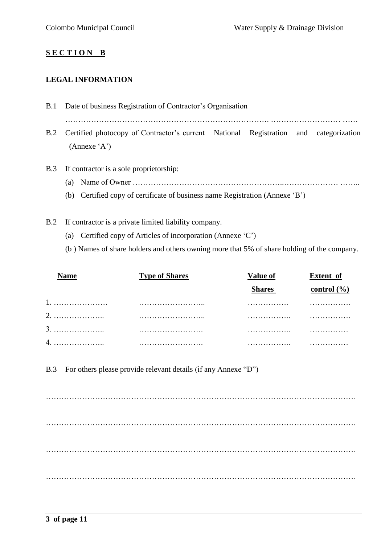### **S E C T I O N B**

#### **LEGAL INFORMATION**

- B.1 Date of business Registration of Contractor's Organisation B.2 Certified photocopy of Contractor's current National Registration and categorization (Annexe 'A')
- B.3 If contractor is a sole proprietorship:
	- (a) Name of Owner  $\ldots$   $\ldots$   $\ldots$   $\ldots$   $\ldots$   $\ldots$   $\ldots$   $\ldots$   $\ldots$   $\ldots$   $\ldots$   $\ldots$   $\ldots$   $\ldots$   $\ldots$   $\ldots$   $\ldots$
	- (b) Certified copy of certificate of business name Registration (Annexe 'B')
- B.2 If contractor is a private limited liability company.
	- (a) Certified copy of Articles of incorporation (Annexe 'C')
	- (b ) Names of share holders and others owning more that 5% of share holding of the company.

| Name | <b>Type of Shares</b> | Value of      | <b>Extent</b> of |
|------|-----------------------|---------------|------------------|
|      |                       | <b>Shares</b> | control $(\% )$  |
|      |                       |               |                  |
|      |                       |               |                  |
|      |                       |               |                  |
|      |                       | .             |                  |

B.3 For others please provide relevant details (if any Annexe "D")

………………………………………………………………………………………………………… ………………………………………………………………………………………………………… ………………………………………………………………………………………………………… …………………………………………………………………………………………………………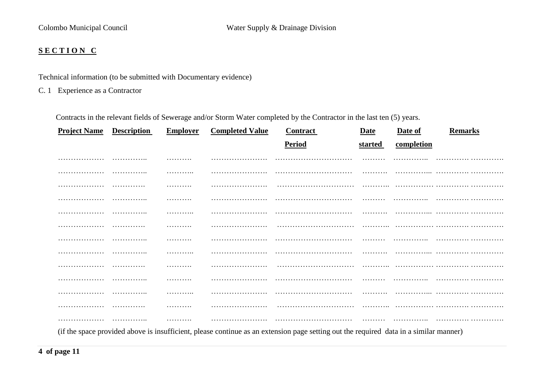### **S E C T I O N C**

Technical information (to be submitted with Documentary evidence)

C. 1 Experience as a Contractor

Contracts in the relevant fields of Sewerage and/or Storm Water completed by the Contractor in the last ten (5) years.

| <b>Project Name</b>         | <b>Description</b>                                                                                                                                                                                                                                                                               | <b>Employer</b> | <b>Completed Value</b>              | Contract      | Date           | Date of                                                                                                                                                                                                                       | <b>Remarks</b> |
|-----------------------------|--------------------------------------------------------------------------------------------------------------------------------------------------------------------------------------------------------------------------------------------------------------------------------------------------|-----------------|-------------------------------------|---------------|----------------|-------------------------------------------------------------------------------------------------------------------------------------------------------------------------------------------------------------------------------|----------------|
|                             |                                                                                                                                                                                                                                                                                                  |                 |                                     | <b>Period</b> | <u>started</u> | completion                                                                                                                                                                                                                    |                |
|                             | .                                                                                                                                                                                                                                                                                                | .               | .                                   | .             |                |                                                                                                                                                                                                                               |                |
| .                           | .                                                                                                                                                                                                                                                                                                | .               |                                     |               | .              |                                                                                                                                                                                                                               |                |
| .                           | .                                                                                                                                                                                                                                                                                                | .               | .                                   |               |                |                                                                                                                                                                                                                               |                |
| .                           | .                                                                                                                                                                                                                                                                                                | .               |                                     |               | .              |                                                                                                                                                                                                                               |                |
|                             | .                                                                                                                                                                                                                                                                                                | .               |                                     |               |                |                                                                                                                                                                                                                               |                |
| .                           | .                                                                                                                                                                                                                                                                                                | .               |                                     |               |                |                                                                                                                                                                                                                               |                |
| .                           |                                                                                                                                                                                                                                                                                                  | .               |                                     |               |                |                                                                                                                                                                                                                               |                |
| .                           | .                                                                                                                                                                                                                                                                                                | .               |                                     |               | .              |                                                                                                                                                                                                                               |                |
|                             |                                                                                                                                                                                                                                                                                                  | .               |                                     |               |                |                                                                                                                                                                                                                               |                |
| .                           | .                                                                                                                                                                                                                                                                                                | .               | .                                   |               | .              |                                                                                                                                                                                                                               |                |
|                             |                                                                                                                                                                                                                                                                                                  | .               |                                     |               |                |                                                                                                                                                                                                                               |                |
| .                           | .                                                                                                                                                                                                                                                                                                | .               |                                     |               | .              |                                                                                                                                                                                                                               |                |
| .                           | .                                                                                                                                                                                                                                                                                                | .               | .                                   |               |                |                                                                                                                                                                                                                               |                |
| $\sim$ $\sim$ $\sim$ $\sim$ | $\mathbf{a}$ and $\mathbf{a}$ and $\mathbf{a}$ and $\mathbf{a}$ and $\mathbf{a}$ and $\mathbf{a}$ and $\mathbf{a}$ and $\mathbf{a}$ and $\mathbf{a}$ and $\mathbf{a}$ and $\mathbf{a}$ and $\mathbf{a}$ and $\mathbf{a}$ and $\mathbf{a}$ and $\mathbf{a}$ and $\mathbf{a}$ and $\mathbf{a}$ and |                 | and the contract of the contract of |               |                | . The contract of the contract of the contract of the contract of the contract of the contract of the contract of the contract of the contract of the contract of the contract of the contract of the contract of the contrac |                |

(if the space provided above is insufficient, please continue as an extension page setting out the required data in a similar manner)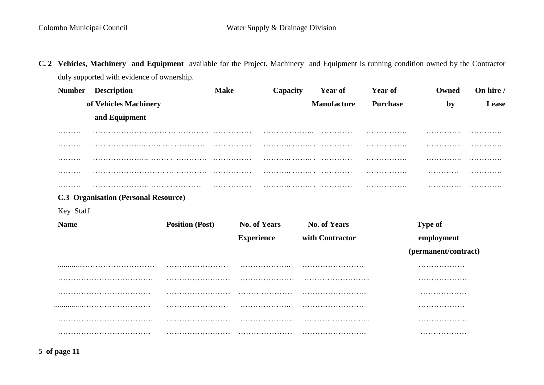**C. 2 Vehicles, Machinery and Equipment** available for the Project. Machinery and Equipment is running condition owned by the Contractor duly supported with evidence of ownership.

| <b>Number</b> | <b>Description</b>                          | <b>Make</b>            | Capacity            | Year of             | Year of         | Owned                | On hire / |
|---------------|---------------------------------------------|------------------------|---------------------|---------------------|-----------------|----------------------|-----------|
|               | of Vehicles Machinery                       |                        |                     | <b>Manufacture</b>  | <b>Purchase</b> | by                   | Lease     |
|               | and Equipment                               |                        |                     |                     |                 |                      |           |
|               |                                             |                        | .                   | .                   | .               | .                    | .         |
| .             |                                             |                        | .                   | .                   | .               | .                    | .         |
| .             |                                             |                        |                     | .                   | .               | .                    | .         |
| .             |                                             |                        |                     | .                   | .               | .                    | .         |
| .             |                                             |                        |                     |                     |                 | .                    | .         |
|               | <b>C.3 Organisation (Personal Resource)</b> |                        |                     |                     |                 |                      |           |
| Key Staff     |                                             |                        |                     |                     |                 |                      |           |
| <b>Name</b>   |                                             | <b>Position (Post)</b> | <b>No. of Years</b> | <b>No. of Years</b> |                 | <b>Type of</b>       |           |
|               |                                             |                        | <b>Experience</b>   | with Contractor     |                 | employment           |           |
|               |                                             |                        |                     |                     |                 | (permanent/contract) |           |
|               |                                             |                        |                     |                     |                 | .                    |           |
|               |                                             |                        |                     |                     |                 | .                    |           |
|               |                                             |                        |                     |                     |                 | .                    |           |
|               |                                             | .                      |                     |                     |                 | .                    |           |
|               |                                             |                        |                     |                     |                 |                      |           |
|               |                                             |                        |                     |                     |                 | .                    |           |
|               |                                             |                        |                     |                     |                 |                      |           |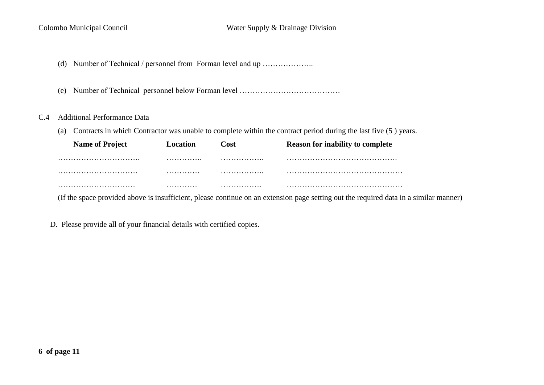- (d) Number of Technical / personnel from Forman level and up ....................
- (e) Number of Technical personnel below Forman level …………………………………

### C.4 Additional Performance Data

(a) Contracts in which Contractor was unable to complete within the contract period during the last five (5 ) years.

| <b>Name of Project</b> | Location | Cost | <b>Reason for inability to complete</b> |
|------------------------|----------|------|-----------------------------------------|
|                        | .        | .    |                                         |
|                        | .        | .    |                                         |
|                        | .        | .    |                                         |

(If the space provided above is insufficient, please continue on an extension page setting out the required data in a similar manner)

D. Please provide all of your financial details with certified copies.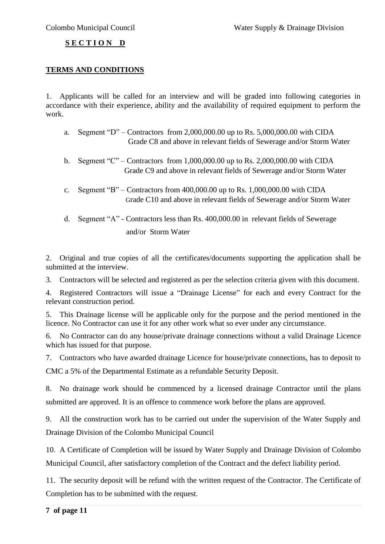### **S E C T I O N D**

### **TERMS AND CONDITIONS**

1. Applicants will be called for an interview and will be graded into following categories in accordance with their experience, ability and the availability of required equipment to perform the work.

- a. Segment "D" Contractors from 2,000,000.00 up to Rs. 5,000,000.00 with CIDA Grade C8 and above in relevant fields of Sewerage and/or Storm Water
- b. Segment "C" Contractors from 1,000,000.00 up to Rs. 2,000,000.00 with CIDA Grade C9 and above in relevant fields of Sewerage and/or Storm Water
- c. Segment "B" Contractors from  $400,000.00$  up to Rs.  $1,000,000.00$  with CIDA Grade C10 and above in relevant fields of Sewerage and/or Storm Water
- d. Segment "A" Contractors less than Rs. 400,000.00 in relevant fields of Sewerage and/or Storm Water

2. Original and true copies of all the certificates/documents supporting the application shall be submitted at the interview.

3. Contractors will be selected and registered as per the selection criteria given with this document.

4. Registered Contractors will issue a "Drainage License" for each and every Contract for the relevant construction period.

5. This Drainage license will be applicable only for the purpose and the period mentioned in the licence. No Contractor can use it for any other work what so ever under any circumstance.

6. No Contractor can do any house/private drainage connections without a valid Drainage Licence which has issued for that purpose.

7. Contractors who have awarded drainage Licence for house/private connections, has to deposit to CMC a 5% of the Departmental Estimate as a refundable Security Deposit.

8. No drainage work should be commenced by a licensed drainage Contractor until the plans submitted are approved. It is an offence to commence work before the plans are approved.

9. All the construction work has to be carried out under the supervision of the Water Supply and Drainage Division of the Colombo Municipal Council

10. A Certificate of Completion will be issued by Water Supply and Drainage Division of Colombo Municipal Council, after satisfactory completion of the Contract and the defect liability period.

11. The security deposit will be refund with the written request of the Contractor. The Certificate of Completion has to be submitted with the request.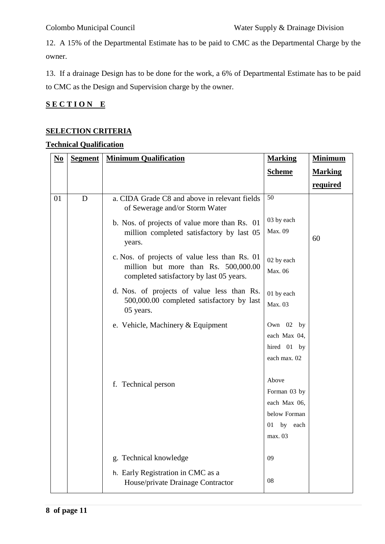12. A 15% of the Departmental Estimate has to be paid to CMC as the Departmental Charge by the owner.

13. If a drainage Design has to be done for the work, a 6% of Departmental Estimate has to be paid to CMC as the Design and Supervision charge by the owner.

## **S E C T I O N E**

### **SELECTION CRITERIA**

### **Technical Qualification**

| $\underline{\mathbf{No}}$ | <b>Segment</b> | <b>Minimum Qualification</b>                                                                                                      | <b>Marking</b>                                                                       | <b>Minimum</b> |
|---------------------------|----------------|-----------------------------------------------------------------------------------------------------------------------------------|--------------------------------------------------------------------------------------|----------------|
|                           |                |                                                                                                                                   | <b>Scheme</b>                                                                        | <b>Marking</b> |
|                           |                |                                                                                                                                   |                                                                                      | required       |
| 01                        | D              | a. CIDA Grade C8 and above in relevant fields<br>of Sewerage and/or Storm Water                                                   | 50                                                                                   |                |
|                           |                | b. Nos. of projects of value more than Rs. 01<br>million completed satisfactory by last 05<br>years.                              | 03 by each<br>Max. 09                                                                | 60             |
|                           |                | c. Nos. of projects of value less than Rs. 01<br>million but more than Rs. 500,000.00<br>completed satisfactory by last 05 years. | 02 by each<br>Max. 06                                                                |                |
|                           |                | d. Nos. of projects of value less than Rs.<br>500,000.00 completed satisfactory by last<br>05 years.                              | 01 by each<br>Max. 03                                                                |                |
|                           |                | e. Vehicle, Machinery & Equipment                                                                                                 | Own 02 by<br>each Max 04,<br>hired 01 by<br>each max. 02                             |                |
|                           |                | f. Technical person                                                                                                               | Above<br>Forman 03 by<br>each Max 06,<br>below Forman<br>by<br>01<br>each<br>max. 03 |                |
|                           |                | g. Technical knowledge                                                                                                            | 09                                                                                   |                |
|                           |                | h. Early Registration in CMC as a<br>House/private Drainage Contractor                                                            | 08                                                                                   |                |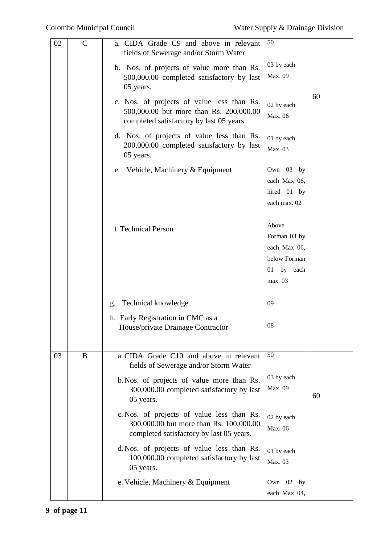| 02 | $\mathcal{C}$ | a. CIDA Grade C9 and above in relevant<br>fields of Sewerage and/or Storm Water                                                   | 50                                                                             |    |
|----|---------------|-----------------------------------------------------------------------------------------------------------------------------------|--------------------------------------------------------------------------------|----|
|    |               | b. Nos. of projects of value more than Rs.<br>500,000.00 completed satisfactory by last<br>05 years.                              | 03 by each<br>Max. 09                                                          |    |
|    |               | c. Nos. of projects of value less than Rs.<br>500,000.00 but more than Rs. 200,000.00<br>completed satisfactory by last 05 years. | 02 by each<br>Max. 06                                                          | 60 |
|    |               | d. Nos. of projects of value less than Rs.<br>200,000.00 completed satisfactory by last<br>05 years.                              | 01 by each<br>Max. 03                                                          |    |
|    |               | e. Vehicle, Machinery & Equipment                                                                                                 | Own 03 by<br>each Max 06,<br>hired 01 by<br>each max. 02                       |    |
|    |               | f. Technical Person                                                                                                               | Above<br>Forman 03 by<br>each Max 06,<br>below Forman<br>01 by each<br>max. 03 |    |
|    |               | Technical knowledge<br>g.                                                                                                         | 09                                                                             |    |
|    |               | h. Early Registration in CMC as a<br>House/private Drainage Contractor                                                            | 08                                                                             |    |
| 03 | B             | a. CIDA Grade C10 and above in relevant<br>fields of Sewerage and/or Storm Water                                                  | 50                                                                             |    |
|    |               | b. Nos. of projects of value more than Rs.<br>300,000.00 completed satisfactory by last<br>05 years.                              | 03 by each<br>Max. 09                                                          | 60 |
|    |               | c. Nos. of projects of value less than Rs.<br>300,000.00 but more than Rs. 100,000.00<br>completed satisfactory by last 05 years. | 02 by each<br>Max. 06                                                          |    |
|    |               | d. Nos. of projects of value less than Rs.<br>100,000.00 completed satisfactory by last<br>05 years.                              | 01 by each<br>Max. 03                                                          |    |
|    |               | e. Vehicle, Machinery & Equipment                                                                                                 | Own 02 by<br>each Max 04,                                                      |    |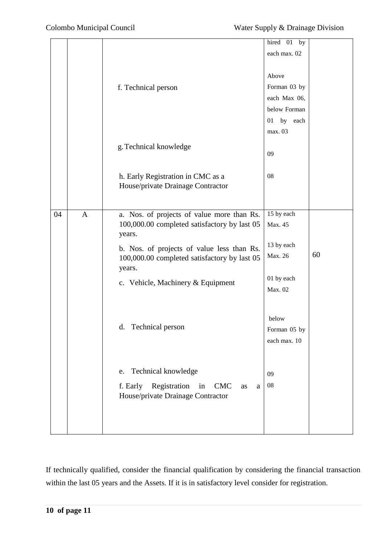|    |              |                                                                                              | hired 01 by   |    |
|----|--------------|----------------------------------------------------------------------------------------------|---------------|----|
|    |              |                                                                                              | each max. 02  |    |
|    |              |                                                                                              |               |    |
|    |              |                                                                                              |               |    |
|    |              |                                                                                              | Above         |    |
|    |              | f. Technical person                                                                          | Forman 03 by  |    |
|    |              |                                                                                              | each Max 06,  |    |
|    |              |                                                                                              | below Forman  |    |
|    |              |                                                                                              | 01<br>by each |    |
|    |              |                                                                                              | max. 03       |    |
|    |              | g. Technical knowledge                                                                       |               |    |
|    |              |                                                                                              | 09            |    |
|    |              |                                                                                              |               |    |
|    |              | h. Early Registration in CMC as a                                                            | 08            |    |
|    |              | House/private Drainage Contractor                                                            |               |    |
|    |              |                                                                                              |               |    |
| 04 | $\mathbf{A}$ | a. Nos. of projects of value more than Rs.                                                   | 15 by each    |    |
|    |              | 100,000.00 completed satisfactory by last 05                                                 | Max. 45       |    |
|    |              | years.                                                                                       |               |    |
|    |              | b. Nos. of projects of value less than Rs.                                                   | 13 by each    |    |
|    |              | 100,000.00 completed satisfactory by last 05<br>years.                                       | Max. 26       | 60 |
|    |              |                                                                                              | 01 by each    |    |
|    |              | c. Vehicle, Machinery & Equipment                                                            | Max. 02       |    |
|    |              |                                                                                              |               |    |
|    |              |                                                                                              |               |    |
|    |              |                                                                                              | below         |    |
|    |              | Technical person<br>d.                                                                       | Forman 05 by  |    |
|    |              |                                                                                              | each max. 10  |    |
|    |              |                                                                                              |               |    |
|    |              | Technical knowledge<br>e.                                                                    |               |    |
|    |              |                                                                                              | 09            |    |
|    |              | Registration<br>f. Early<br>in<br><b>CMC</b><br>as<br>a<br>House/private Drainage Contractor | 08            |    |
|    |              |                                                                                              |               |    |
|    |              |                                                                                              |               |    |
|    |              |                                                                                              |               |    |
|    |              |                                                                                              |               |    |

If technically qualified, consider the financial qualification by considering the financial transaction within the last 05 years and the Assets. If it is in satisfactory level consider for registration.